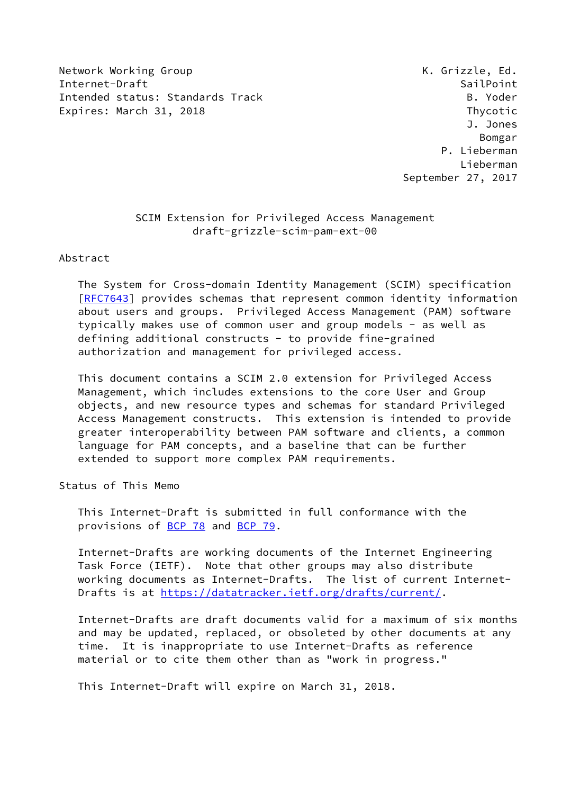Network Working Group Network Crisis and Muslim Metwork Crisis and Muslim Muslim Muslim Muslim Muslim Muslim Mu Internet-Draft SailPoint SailPoint SailPoint Intended status: Standards Track B. Yoder Expires: March 31, 2018 **Expires:** March 31, 2018

 J. Jones Bomgar P. Lieberman Lieberman September 27, 2017

## SCIM Extension for Privileged Access Management draft-grizzle-scim-pam-ext-00

Abstract

 The System for Cross-domain Identity Management (SCIM) specification [\[RFC7643](https://datatracker.ietf.org/doc/pdf/rfc7643)] provides schemas that represent common identity information about users and groups. Privileged Access Management (PAM) software typically makes use of common user and group models - as well as defining additional constructs - to provide fine-grained authorization and management for privileged access.

 This document contains a SCIM 2.0 extension for Privileged Access Management, which includes extensions to the core User and Group objects, and new resource types and schemas for standard Privileged Access Management constructs. This extension is intended to provide greater interoperability between PAM software and clients, a common language for PAM concepts, and a baseline that can be further extended to support more complex PAM requirements.

Status of This Memo

 This Internet-Draft is submitted in full conformance with the provisions of [BCP 78](https://datatracker.ietf.org/doc/pdf/bcp78) and [BCP 79](https://datatracker.ietf.org/doc/pdf/bcp79).

 Internet-Drafts are working documents of the Internet Engineering Task Force (IETF). Note that other groups may also distribute working documents as Internet-Drafts. The list of current Internet Drafts is at<https://datatracker.ietf.org/drafts/current/>.

 Internet-Drafts are draft documents valid for a maximum of six months and may be updated, replaced, or obsoleted by other documents at any time. It is inappropriate to use Internet-Drafts as reference material or to cite them other than as "work in progress."

This Internet-Draft will expire on March 31, 2018.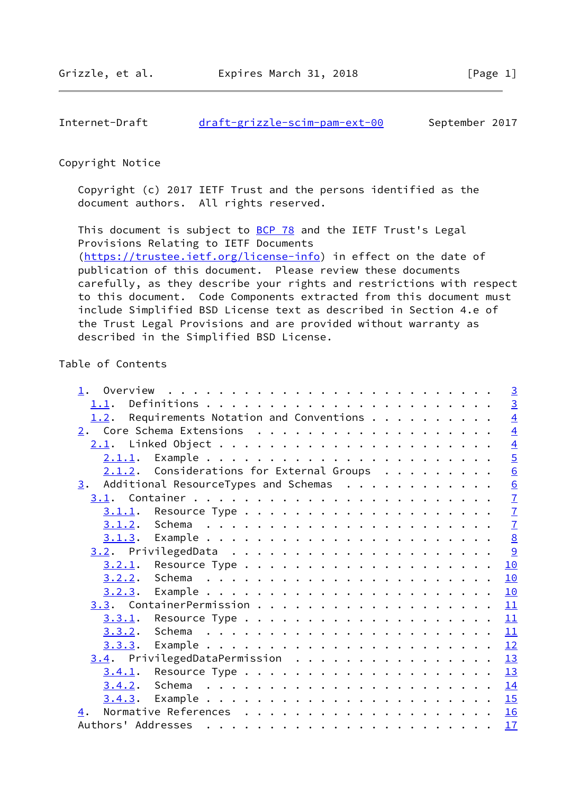Internet-Draft [draft-grizzle-scim-pam-ext-00](https://datatracker.ietf.org/doc/pdf/draft-grizzle-scim-pam-ext-00) September 2017

### Copyright Notice

 Copyright (c) 2017 IETF Trust and the persons identified as the document authors. All rights reserved.

This document is subject to **[BCP 78](https://datatracker.ietf.org/doc/pdf/bcp78)** and the IETF Trust's Legal Provisions Relating to IETF Documents [\(https://trustee.ietf.org/license-info](https://trustee.ietf.org/license-info)) in effect on the date of publication of this document. Please review these documents carefully, as they describe your rights and restrictions with respect to this document. Code Components extracted from this document must include Simplified BSD License text as described in Section 4.e of the Trust Legal Provisions and are provided without warranty as described in the Simplified BSD License.

# Table of Contents

| 1.                                                   | $\overline{3}$  |
|------------------------------------------------------|-----------------|
| 1.1.                                                 | $\overline{3}$  |
| 1.2. Requirements Notation and Conventions $\dots$   | $\overline{4}$  |
|                                                      | $\overline{4}$  |
|                                                      | $\overline{4}$  |
|                                                      | $\overline{5}$  |
| $2.1.2$ . Considerations for External Groups         | $\underline{6}$ |
| $\frac{3}{2}$ . Additional ResourceTypes and Schemas | $\underline{6}$ |
|                                                      | $\overline{1}$  |
|                                                      | $\overline{1}$  |
|                                                      | $\overline{1}$  |
|                                                      | 8               |
|                                                      | 9               |
|                                                      | 10              |
|                                                      | 10              |
|                                                      | 10              |
|                                                      | 11              |
|                                                      | 11              |
|                                                      | 11              |
| 3.3.3.                                               | 12              |
| 3.4. PrivilegedDataPermission                        | 13              |
|                                                      | 13              |
|                                                      | 14              |
|                                                      | 15              |
| 4.                                                   | 16              |
|                                                      | 17              |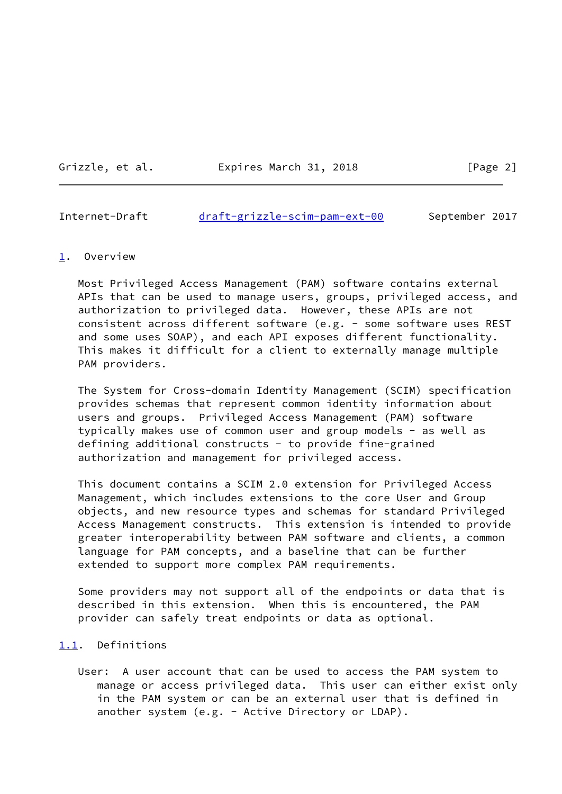Grizzle, et al. Expires March 31, 2018 [Page 2]

<span id="page-2-1"></span>Internet-Draft [draft-grizzle-scim-pam-ext-00](https://datatracker.ietf.org/doc/pdf/draft-grizzle-scim-pam-ext-00) September 2017

#### <span id="page-2-0"></span>[1](#page-2-0). Overview

 Most Privileged Access Management (PAM) software contains external APIs that can be used to manage users, groups, privileged access, and authorization to privileged data. However, these APIs are not consistent across different software (e.g. - some software uses REST and some uses SOAP), and each API exposes different functionality. This makes it difficult for a client to externally manage multiple PAM providers.

 The System for Cross-domain Identity Management (SCIM) specification provides schemas that represent common identity information about users and groups. Privileged Access Management (PAM) software typically makes use of common user and group models - as well as defining additional constructs - to provide fine-grained authorization and management for privileged access.

 This document contains a SCIM 2.0 extension for Privileged Access Management, which includes extensions to the core User and Group objects, and new resource types and schemas for standard Privileged Access Management constructs. This extension is intended to provide greater interoperability between PAM software and clients, a common language for PAM concepts, and a baseline that can be further extended to support more complex PAM requirements.

 Some providers may not support all of the endpoints or data that is described in this extension. When this is encountered, the PAM provider can safely treat endpoints or data as optional.

# <span id="page-2-2"></span>[1.1](#page-2-2). Definitions

 User: A user account that can be used to access the PAM system to manage or access privileged data. This user can either exist only in the PAM system or can be an external user that is defined in another system (e.g. - Active Directory or LDAP).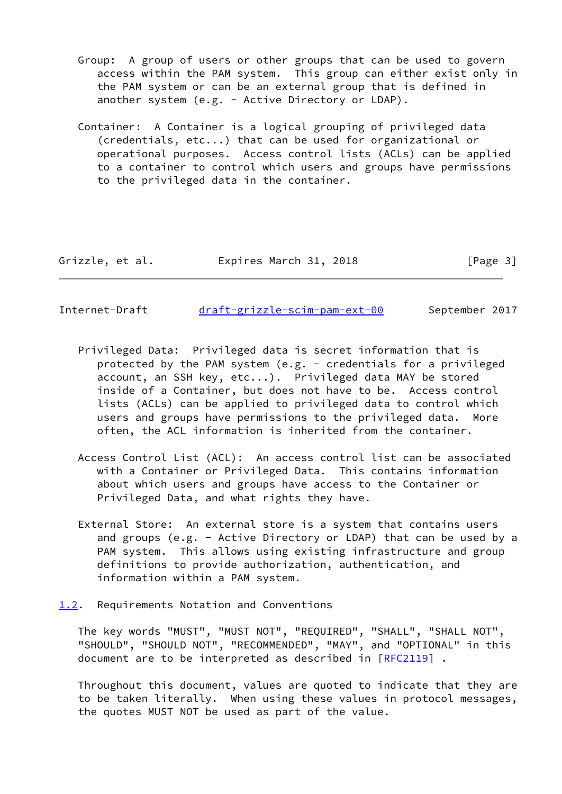- Group: A group of users or other groups that can be used to govern access within the PAM system. This group can either exist only in the PAM system or can be an external group that is defined in another system (e.g. - Active Directory or LDAP).
- Container: A Container is a logical grouping of privileged data (credentials, etc...) that can be used for organizational or operational purposes. Access control lists (ACLs) can be applied to a container to control which users and groups have permissions to the privileged data in the container.

| Grizzle, et al. | Expires March 31, 2018 | [Page 3] |
|-----------------|------------------------|----------|
|                 |                        |          |

<span id="page-3-1"></span>Internet-Draft [draft-grizzle-scim-pam-ext-00](https://datatracker.ietf.org/doc/pdf/draft-grizzle-scim-pam-ext-00) September 2017

- Privileged Data: Privileged data is secret information that is protected by the PAM system (e.g. - credentials for a privileged account, an SSH key, etc...). Privileged data MAY be stored inside of a Container, but does not have to be. Access control lists (ACLs) can be applied to privileged data to control which users and groups have permissions to the privileged data. More often, the ACL information is inherited from the container.
- Access Control List (ACL): An access control list can be associated with a Container or Privileged Data. This contains information about which users and groups have access to the Container or Privileged Data, and what rights they have.
- External Store: An external store is a system that contains users and groups (e.g. - Active Directory or LDAP) that can be used by a PAM system. This allows using existing infrastructure and group definitions to provide authorization, authentication, and information within a PAM system.
- <span id="page-3-0"></span>[1.2](#page-3-0). Requirements Notation and Conventions

 The key words "MUST", "MUST NOT", "REQUIRED", "SHALL", "SHALL NOT", "SHOULD", "SHOULD NOT", "RECOMMENDED", "MAY", and "OPTIONAL" in this document are to be interpreted as described in [\[RFC2119](https://datatracker.ietf.org/doc/pdf/rfc2119)] .

 Throughout this document, values are quoted to indicate that they are to be taken literally. When using these values in protocol messages, the quotes MUST NOT be used as part of the value.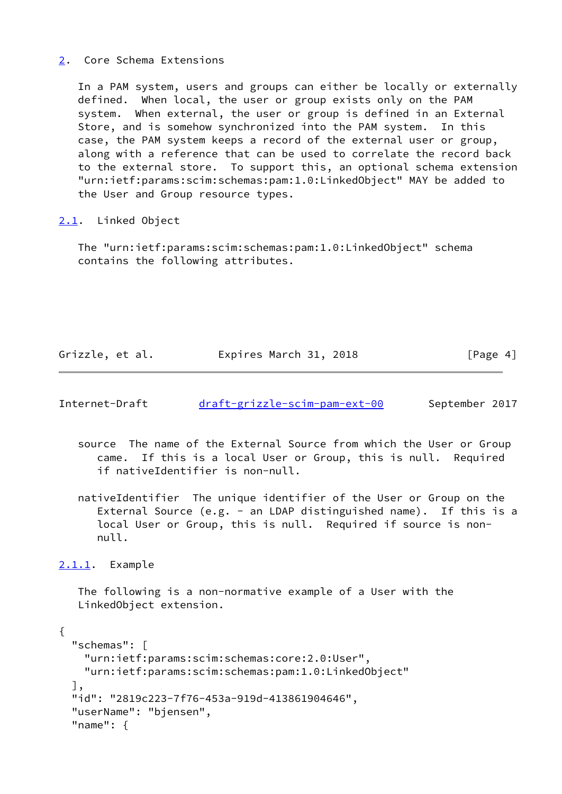## <span id="page-4-0"></span>[2](#page-4-0). Core Schema Extensions

 In a PAM system, users and groups can either be locally or externally defined. When local, the user or group exists only on the PAM system. When external, the user or group is defined in an External Store, and is somehow synchronized into the PAM system. In this case, the PAM system keeps a record of the external user or group, along with a reference that can be used to correlate the record back to the external store. To support this, an optional schema extension "urn:ietf:params:scim:schemas:pam:1.0:LinkedObject" MAY be added to the User and Group resource types.

## <span id="page-4-1"></span>[2.1](#page-4-1). Linked Object

 The "urn:ietf:params:scim:schemas:pam:1.0:LinkedObject" schema contains the following attributes.

Grizzle, et al. Expires March 31, 2018 [Page 4]

<span id="page-4-3"></span>Internet-Draft [draft-grizzle-scim-pam-ext-00](https://datatracker.ietf.org/doc/pdf/draft-grizzle-scim-pam-ext-00) September 2017

- source The name of the External Source from which the User or Group came. If this is a local User or Group, this is null. Required if nativeIdentifier is non-null.
- nativeIdentifier The unique identifier of the User or Group on the External Source (e.g. - an LDAP distinguished name). If this is a local User or Group, this is null. Required if source is non null.

<span id="page-4-2"></span>[2.1.1](#page-4-2). Example

 The following is a non-normative example of a User with the LinkedObject extension.

```
{
   "schemas": [
     "urn:ietf:params:scim:schemas:core:2.0:User",
     "urn:ietf:params:scim:schemas:pam:1.0:LinkedObject"
  ],
   "id": "2819c223-7f76-453a-919d-413861904646",
   "userName": "bjensen",
   "name": {
```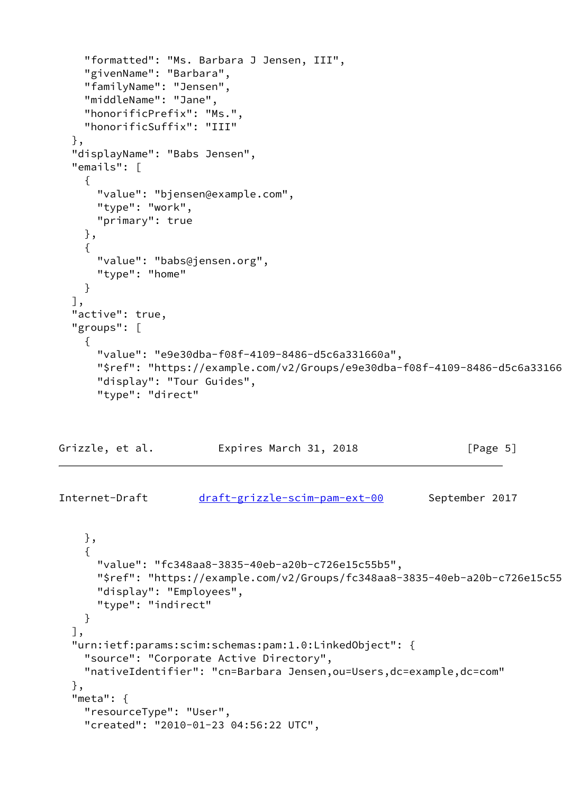```
 "formatted": "Ms. Barbara J Jensen, III",
   "givenName": "Barbara",
   "familyName": "Jensen",
   "middleName": "Jane",
   "honorificPrefix": "Ms.",
   "honorificSuffix": "III"
 },
 "displayName": "Babs Jensen",
 "emails": [
   {
     "value": "bjensen@example.com",
     "type": "work",
     "primary": true
   },
   {
     "value": "babs@jensen.org",
     "type": "home"
   }
 ],
 "active": true,
 "groups": [
   {
     "value": "e9e30dba-f08f-4109-8486-d5c6a331660a",
    "$ref": "https://example.com/v2/Groups/e9e30dba-f08f-4109-8486-d5c6a33166
     "display": "Tour Guides",
     "type": "direct"
```

| Grizzle, et al. | Expires March 31, 2018 |  | [Page 5] |
|-----------------|------------------------|--|----------|
|-----------------|------------------------|--|----------|

```
Internet-Draft draft-grizzle-scim-pam-ext-00 September 2017
```

```
 },
   {
     "value": "fc348aa8-3835-40eb-a20b-c726e15c55b5",
    "$ref": "https://example.com/v2/Groups/fc348aa8-3835-40eb-a20b-c726e15c55
     "display": "Employees",
     "type": "indirect"
   }
 ],
 "urn:ietf:params:scim:schemas:pam:1.0:LinkedObject": {
   "source": "Corporate Active Directory",
   "nativeIdentifier": "cn=Barbara Jensen,ou=Users,dc=example,dc=com"
 },
 "meta": {
   "resourceType": "User",
   "created": "2010-01-23 04:56:22 UTC",
```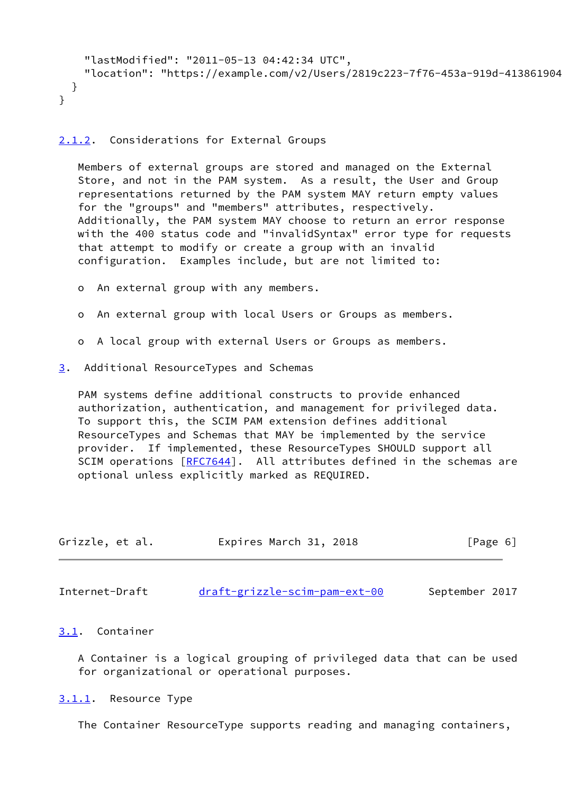```
 "lastModified": "2011-05-13 04:42:34 UTC",
    "location": "https://example.com/v2/Users/2819c223-7f76-453a-919d-413861904
  }
}
```
### <span id="page-6-0"></span>[2.1.2](#page-6-0). Considerations for External Groups

 Members of external groups are stored and managed on the External Store, and not in the PAM system. As a result, the User and Group representations returned by the PAM system MAY return empty values for the "groups" and "members" attributes, respectively. Additionally, the PAM system MAY choose to return an error response with the 400 status code and "invalidSyntax" error type for requests that attempt to modify or create a group with an invalid configuration. Examples include, but are not limited to:

- o An external group with any members.
- o An external group with local Users or Groups as members.
- o A local group with external Users or Groups as members.
- <span id="page-6-1"></span>[3](#page-6-1). Additional ResourceTypes and Schemas

 PAM systems define additional constructs to provide enhanced authorization, authentication, and management for privileged data. To support this, the SCIM PAM extension defines additional ResourceTypes and Schemas that MAY be implemented by the service provider. If implemented, these ResourceTypes SHOULD support all SCIM operations [\[RFC7644](https://datatracker.ietf.org/doc/pdf/rfc7644)]. All attributes defined in the schemas are optional unless explicitly marked as REQUIRED.

| Grizzle, et al. | Expires March 31, 2018 | [Page 6] |
|-----------------|------------------------|----------|
|                 |                        |          |

<span id="page-6-3"></span>Internet-Draft [draft-grizzle-scim-pam-ext-00](https://datatracker.ietf.org/doc/pdf/draft-grizzle-scim-pam-ext-00) September 2017

### <span id="page-6-2"></span>[3.1](#page-6-2). Container

 A Container is a logical grouping of privileged data that can be used for organizational or operational purposes.

<span id="page-6-4"></span>[3.1.1](#page-6-4). Resource Type

The Container ResourceType supports reading and managing containers,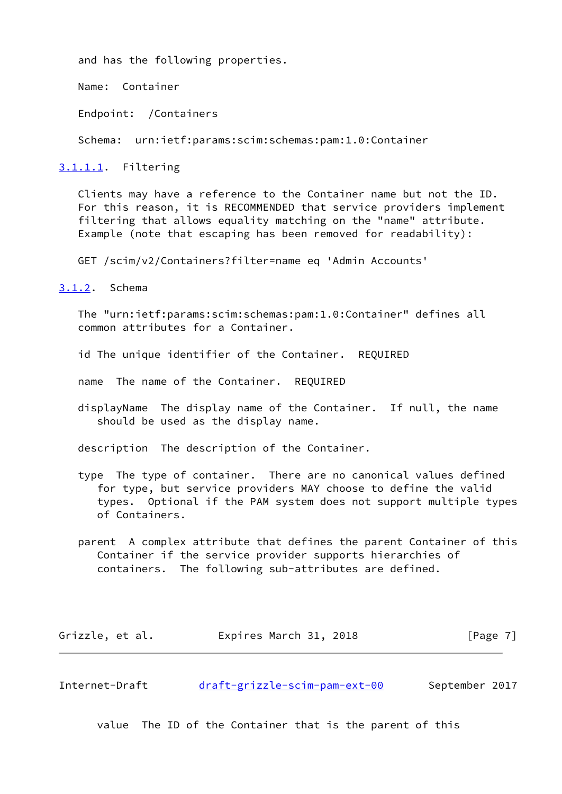and has the following properties.

Name: Container

Endpoint: /Containers

Schema: urn:ietf:params:scim:schemas:pam:1.0:Container

<span id="page-7-2"></span>[3.1.1.1](#page-7-2). Filtering

 Clients may have a reference to the Container name but not the ID. For this reason, it is RECOMMENDED that service providers implement filtering that allows equality matching on the "name" attribute. Example (note that escaping has been removed for readability):

GET /scim/v2/Containers?filter=name eq 'Admin Accounts'

<span id="page-7-0"></span>[3.1.2](#page-7-0). Schema

 The "urn:ietf:params:scim:schemas:pam:1.0:Container" defines all common attributes for a Container.

id The unique identifier of the Container. REQUIRED

name The name of the Container. REQUIRED

 displayName The display name of the Container. If null, the name should be used as the display name.

description The description of the Container.

- type The type of container. There are no canonical values defined for type, but service providers MAY choose to define the valid types. Optional if the PAM system does not support multiple types of Containers.
- parent A complex attribute that defines the parent Container of this Container if the service provider supports hierarchies of containers. The following sub-attributes are defined.

Grizzle, et al. **Expires March 31, 2018** [Page 7]

<span id="page-7-1"></span>Internet-Draft [draft-grizzle-scim-pam-ext-00](https://datatracker.ietf.org/doc/pdf/draft-grizzle-scim-pam-ext-00) September 2017

value The ID of the Container that is the parent of this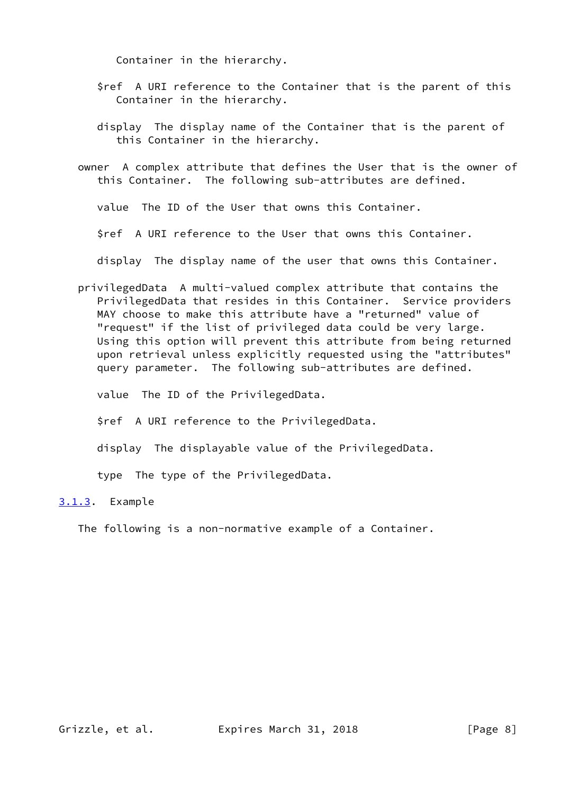Container in the hierarchy.

- \$ref A URI reference to the Container that is the parent of this Container in the hierarchy.
- display The display name of the Container that is the parent of this Container in the hierarchy.
- owner A complex attribute that defines the User that is the owner of this Container. The following sub-attributes are defined.

value The ID of the User that owns this Container.

\$ref A URI reference to the User that owns this Container.

display The display name of the user that owns this Container.

 privilegedData A multi-valued complex attribute that contains the PrivilegedData that resides in this Container. Service providers MAY choose to make this attribute have a "returned" value of "request" if the list of privileged data could be very large. Using this option will prevent this attribute from being returned upon retrieval unless explicitly requested using the "attributes" query parameter. The following sub-attributes are defined.

value The ID of the PrivilegedData.

\$ref A URI reference to the PrivilegedData.

display The displayable value of the PrivilegedData.

type The type of the PrivilegedData.

<span id="page-8-0"></span>[3.1.3](#page-8-0). Example

The following is a non-normative example of a Container.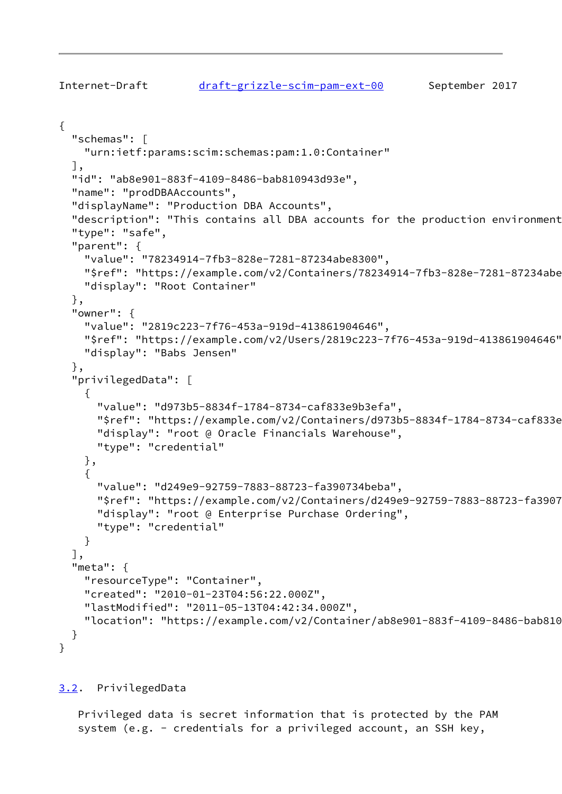```
{
   "schemas": [
     "urn:ietf:params:scim:schemas:pam:1.0:Container"
   ],
   "id": "ab8e901-883f-4109-8486-bab810943d93e",
   "name": "prodDBAAccounts",
   "displayName": "Production DBA Accounts",
  "description": "This contains all DBA accounts for the production environment
   "type": "safe",
   "parent": {
     "value": "78234914-7fb3-828e-7281-87234abe8300",
    "$ref": "https://example.com/v2/Containers/78234914-7fb3-828e-7281-87234abe
     "display": "Root Container"
   },
   "owner": {
     "value": "2819c223-7f76-453a-919d-413861904646",
     "$ref": "https://example.com/v2/Users/2819c223-7f76-453a-919d-413861904646",
     "display": "Babs Jensen"
   },
   "privilegedData": [
     {
       "value": "d973b5-8834f-1784-8734-caf833e9b3efa",
      "$ref": "https://example.com/v2/Containers/d973b5-8834f-1784-8734-caf833e
       "display": "root @ Oracle Financials Warehouse",
       "type": "credential"
     },
     {
       "value": "d249e9-92759-7883-88723-fa390734beba",
       "$ref": "https://example.com/v2/Containers/d249e9-92759-7883-88723-fa390734beba",
       "display": "root @ Enterprise Purchase Ordering",
       "type": "credential"
     }
   ],
   "meta": {
     "resourceType": "Container",
     "created": "2010-01-23T04:56:22.000Z",
     "lastModified": "2011-05-13T04:42:34.000Z",
    "location": "https://example.com/v2/Container/ab8e901-883f-4109-8486-bab810
   }
}
```
<span id="page-9-0"></span>[3.2](#page-9-0). PrivilegedData

 Privileged data is secret information that is protected by the PAM system (e.g. - credentials for a privileged account, an SSH key,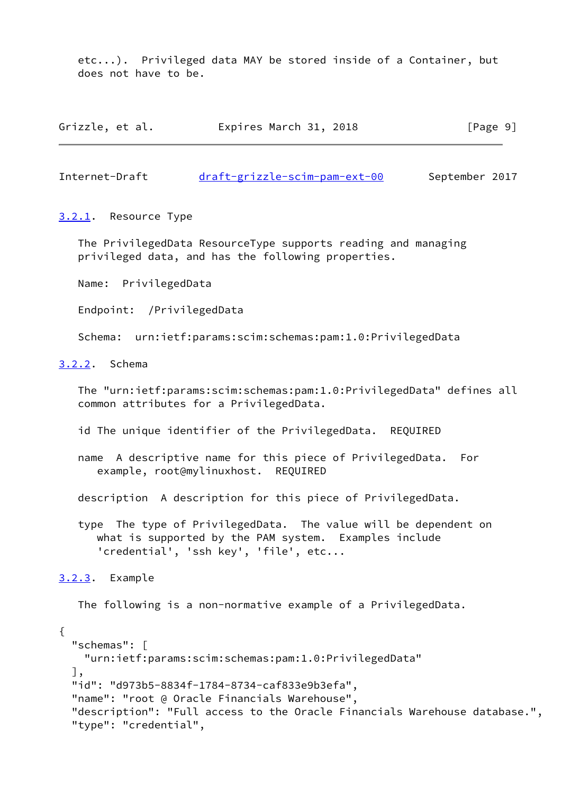etc...). Privileged data MAY be stored inside of a Container, but does not have to be.

| Grizzle, et al. | Expires March 31, 2018 |  | [Page 9] |
|-----------------|------------------------|--|----------|
|-----------------|------------------------|--|----------|

<span id="page-10-1"></span>Internet-Draft [draft-grizzle-scim-pam-ext-00](https://datatracker.ietf.org/doc/pdf/draft-grizzle-scim-pam-ext-00) September 2017

#### <span id="page-10-0"></span>[3.2.1](#page-10-0). Resource Type

 The PrivilegedData ResourceType supports reading and managing privileged data, and has the following properties.

Name: PrivilegedData

Endpoint: /PrivilegedData

Schema: urn:ietf:params:scim:schemas:pam:1.0:PrivilegedData

## <span id="page-10-2"></span>[3.2.2](#page-10-2). Schema

 The "urn:ietf:params:scim:schemas:pam:1.0:PrivilegedData" defines all common attributes for a PrivilegedData.

id The unique identifier of the PrivilegedData. REQUIRED

 name A descriptive name for this piece of PrivilegedData. For example, root@mylinuxhost. REQUIRED

description A description for this piece of PrivilegedData.

 type The type of PrivilegedData. The value will be dependent on what is supported by the PAM system. Examples include 'credential', 'ssh key', 'file', etc...

<span id="page-10-3"></span>[3.2.3](#page-10-3). Example

The following is a non-normative example of a PrivilegedData.

{ "schemas": [ "urn:ietf:params:scim:schemas:pam:1.0:PrivilegedData" ], "id": "d973b5-8834f-1784-8734-caf833e9b3efa", "name": "root @ Oracle Financials Warehouse", "description": "Full access to the Oracle Financials Warehouse database.", "type": "credential",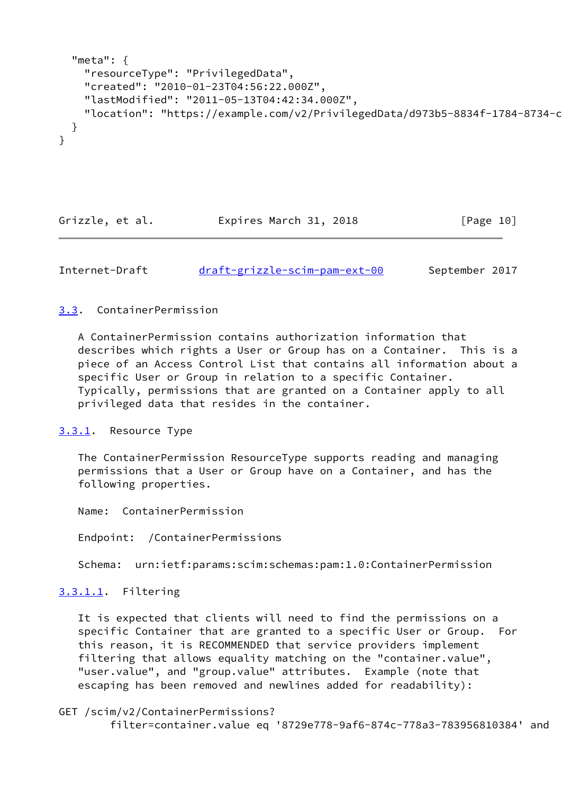```
 "meta": {
     "resourceType": "PrivilegedData",
     "created": "2010-01-23T04:56:22.000Z",
     "lastModified": "2011-05-13T04:42:34.000Z",
    "location": "https://example.com/v2/PrivilegedData/d973b5-8834f-1784-8734-c
  }
}
```
Grizzle, et al. Expires March 31, 2018 [Page 10]

<span id="page-11-1"></span>Internet-Draft [draft-grizzle-scim-pam-ext-00](https://datatracker.ietf.org/doc/pdf/draft-grizzle-scim-pam-ext-00) September 2017

## <span id="page-11-0"></span>[3.3](#page-11-0). ContainerPermission

 A ContainerPermission contains authorization information that describes which rights a User or Group has on a Container. This is a piece of an Access Control List that contains all information about a specific User or Group in relation to a specific Container. Typically, permissions that are granted on a Container apply to all privileged data that resides in the container.

## <span id="page-11-2"></span>[3.3.1](#page-11-2). Resource Type

 The ContainerPermission ResourceType supports reading and managing permissions that a User or Group have on a Container, and has the following properties.

Name: ContainerPermission

Endpoint: /ContainerPermissions

Schema: urn:ietf:params:scim:schemas:pam:1.0:ContainerPermission

## <span id="page-11-3"></span>[3.3.1.1](#page-11-3). Filtering

 It is expected that clients will need to find the permissions on a specific Container that are granted to a specific User or Group. For this reason, it is RECOMMENDED that service providers implement filtering that allows equality matching on the "container.value", "user.value", and "group.value" attributes. Example (note that escaping has been removed and newlines added for readability):

GET /scim/v2/ContainerPermissions?

filter=container.value eq '8729e778-9af6-874c-778a3-783956810384' and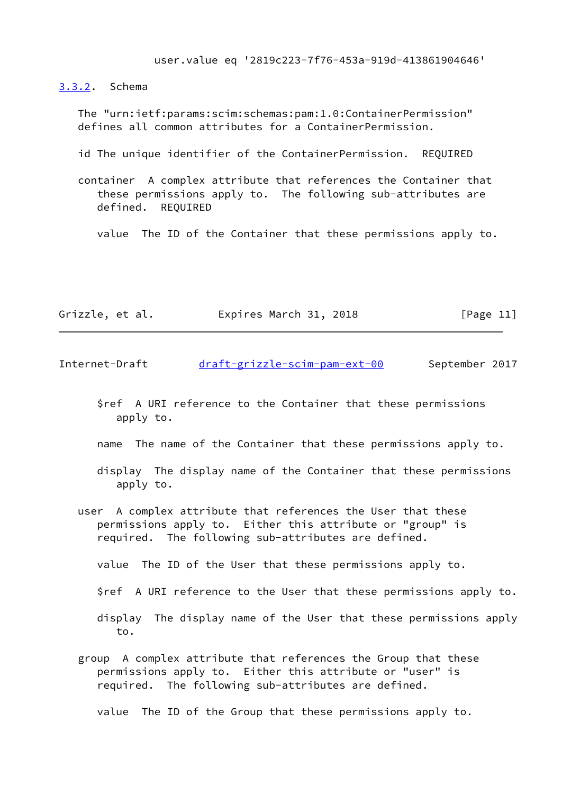user.value eq '2819c223-7f76-453a-919d-413861904646'

<span id="page-12-0"></span>[3.3.2](#page-12-0). Schema

 The "urn:ietf:params:scim:schemas:pam:1.0:ContainerPermission" defines all common attributes for a ContainerPermission.

id The unique identifier of the ContainerPermission. REQUIRED

 container A complex attribute that references the Container that these permissions apply to. The following sub-attributes are defined. REQUIRED

value The ID of the Container that these permissions apply to.

| Grizzle, et al. | Expires March 31, 2018 | [Page 11] |
|-----------------|------------------------|-----------|
|-----------------|------------------------|-----------|

<span id="page-12-1"></span>Internet-Draft [draft-grizzle-scim-pam-ext-00](https://datatracker.ietf.org/doc/pdf/draft-grizzle-scim-pam-ext-00) September 2017

 \$ref A URI reference to the Container that these permissions apply to.

name The name of the Container that these permissions apply to.

 display The display name of the Container that these permissions apply to.

 user A complex attribute that references the User that these permissions apply to. Either this attribute or "group" is required. The following sub-attributes are defined.

value The ID of the User that these permissions apply to.

\$ref A URI reference to the User that these permissions apply to.

- display The display name of the User that these permissions apply to.
- group A complex attribute that references the Group that these permissions apply to. Either this attribute or "user" is required. The following sub-attributes are defined.

value The ID of the Group that these permissions apply to.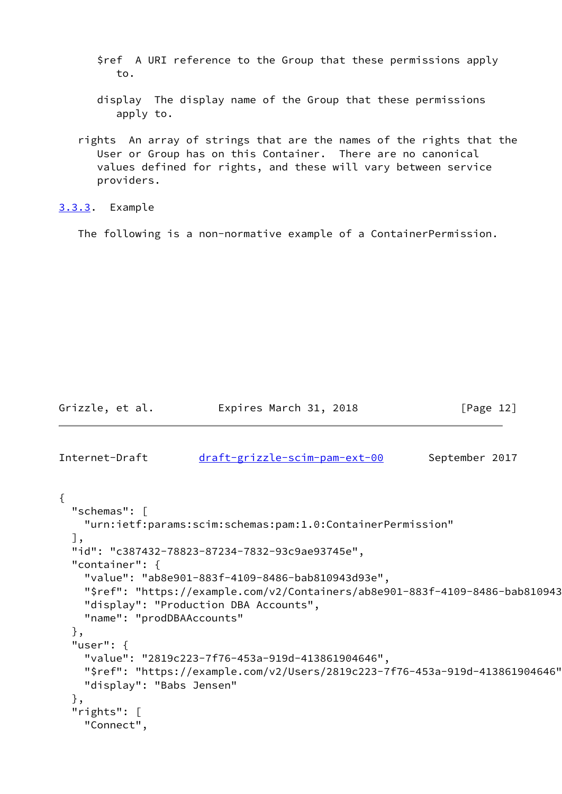\$ref A URI reference to the Group that these permissions apply to.

 display The display name of the Group that these permissions apply to.

 rights An array of strings that are the names of the rights that the User or Group has on this Container. There are no canonical values defined for rights, and these will vary between service providers.

<span id="page-13-0"></span>[3.3.3](#page-13-0). Example

The following is a non-normative example of a ContainerPermission.

Grizzle, et al. Expires March 31, 2018 [Page 12]

<span id="page-13-1"></span>Internet-Draft [draft-grizzle-scim-pam-ext-00](https://datatracker.ietf.org/doc/pdf/draft-grizzle-scim-pam-ext-00) September 2017

```
{
  "schemas": [
    "urn:ietf:params:scim:schemas:pam:1.0:ContainerPermission"
  ],
  "id": "c387432-78823-87234-7832-93c9ae93745e",
  "container": {
     "value": "ab8e901-883f-4109-8486-bab810943d93e",
   "$ref": "https://example.com/v2/Containers/ab8e901-883f-4109-8486-bab810943
    "display": "Production DBA Accounts",
    "name": "prodDBAAccounts"
  },
  "user": {
    "value": "2819c223-7f76-453a-919d-413861904646",
    "$ref": "https://example.com/v2/Users/2819c223-7f76-453a-919d-413861904646",
    "display": "Babs Jensen"
  },
  "rights": [
     "Connect",
```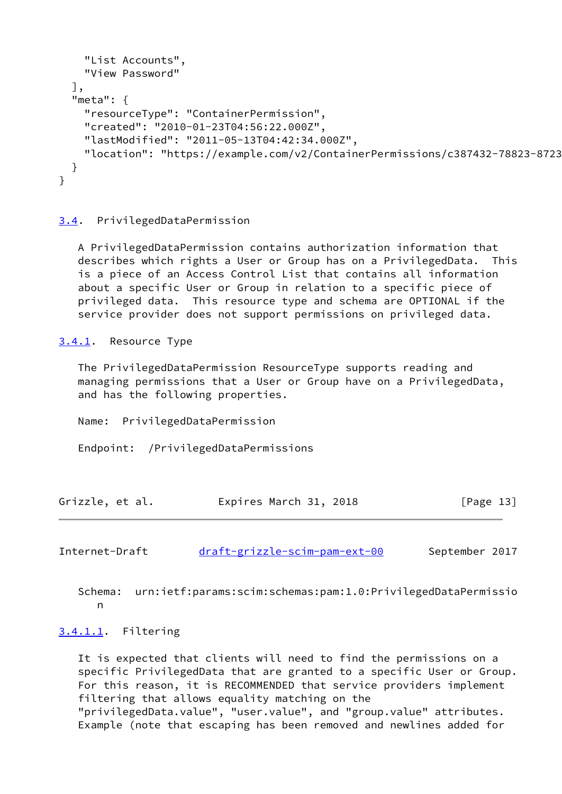```
 "List Accounts",
     "View Password"
   ],
   "meta": {
     "resourceType": "ContainerPermission",
     "created": "2010-01-23T04:56:22.000Z",
     "lastModified": "2011-05-13T04:42:34.000Z",
    "location": "https://example.com/v2/ContainerPermissions/c387432-78823-8723
   }
}
```
## <span id="page-14-0"></span>[3.4](#page-14-0). PrivilegedDataPermission

 A PrivilegedDataPermission contains authorization information that describes which rights a User or Group has on a PrivilegedData. This is a piece of an Access Control List that contains all information about a specific User or Group in relation to a specific piece of privileged data. This resource type and schema are OPTIONAL if the service provider does not support permissions on privileged data.

<span id="page-14-1"></span>[3.4.1](#page-14-1). Resource Type

 The PrivilegedDataPermission ResourceType supports reading and managing permissions that a User or Group have on a PrivilegedData, and has the following properties.

Name: PrivilegedDataPermission

Endpoint: /PrivilegedDataPermissions

| Grizzle, et al. | Expires March 31, 2018 | [Page 13] |
|-----------------|------------------------|-----------|
|-----------------|------------------------|-----------|

<span id="page-14-2"></span>Internet-Draft [draft-grizzle-scim-pam-ext-00](https://datatracker.ietf.org/doc/pdf/draft-grizzle-scim-pam-ext-00) September 2017

 Schema: urn:ietf:params:scim:schemas:pam:1.0:PrivilegedDataPermissio n

## <span id="page-14-3"></span>[3.4.1.1](#page-14-3). Filtering

 It is expected that clients will need to find the permissions on a specific PrivilegedData that are granted to a specific User or Group. For this reason, it is RECOMMENDED that service providers implement filtering that allows equality matching on the "privilegedData.value", "user.value", and "group.value" attributes. Example (note that escaping has been removed and newlines added for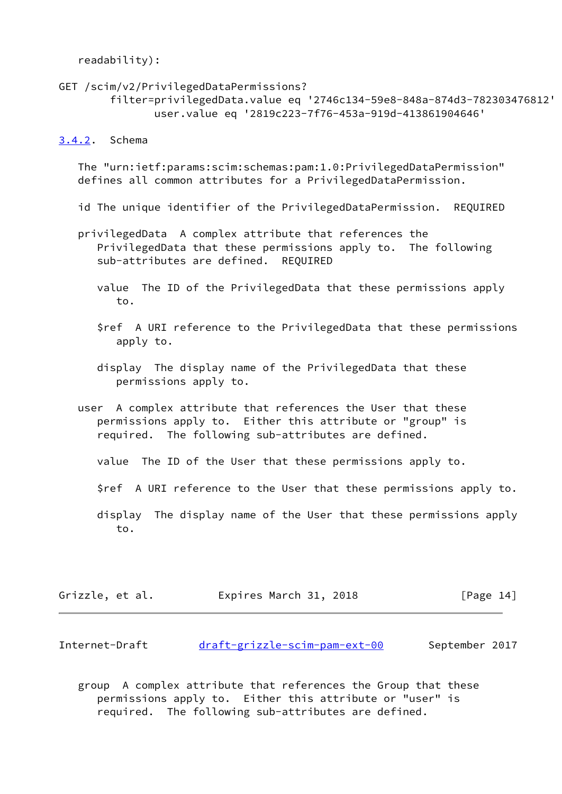readability):

```
GET /scim/v2/PrivilegedDataPermissions?
        filter=privilegedData.value eq '2746c134-59e8-848a-874d3-782303476812'
                user.value eq '2819c223-7f76-453a-919d-413861904646'
```
### <span id="page-15-0"></span>[3.4.2](#page-15-0). Schema

 The "urn:ietf:params:scim:schemas:pam:1.0:PrivilegedDataPermission" defines all common attributes for a PrivilegedDataPermission.

id The unique identifier of the PrivilegedDataPermission. REQUIRED

- privilegedData A complex attribute that references the PrivilegedData that these permissions apply to. The following sub-attributes are defined. REQUIRED
	- value The ID of the PrivilegedData that these permissions apply to.
	- \$ref A URI reference to the PrivilegedData that these permissions apply to.
	- display The display name of the PrivilegedData that these permissions apply to.
- user A complex attribute that references the User that these permissions apply to. Either this attribute or "group" is required. The following sub-attributes are defined.
	- value The ID of the User that these permissions apply to.
	- \$ref A URI reference to the User that these permissions apply to.
	- display The display name of the User that these permissions apply to.

| Grizzle, et al. | Expires March 31, 2018 | [Page 14] |
|-----------------|------------------------|-----------|
|-----------------|------------------------|-----------|

<span id="page-15-1"></span>Internet-Draft [draft-grizzle-scim-pam-ext-00](https://datatracker.ietf.org/doc/pdf/draft-grizzle-scim-pam-ext-00) September 2017

 group A complex attribute that references the Group that these permissions apply to. Either this attribute or "user" is required. The following sub-attributes are defined.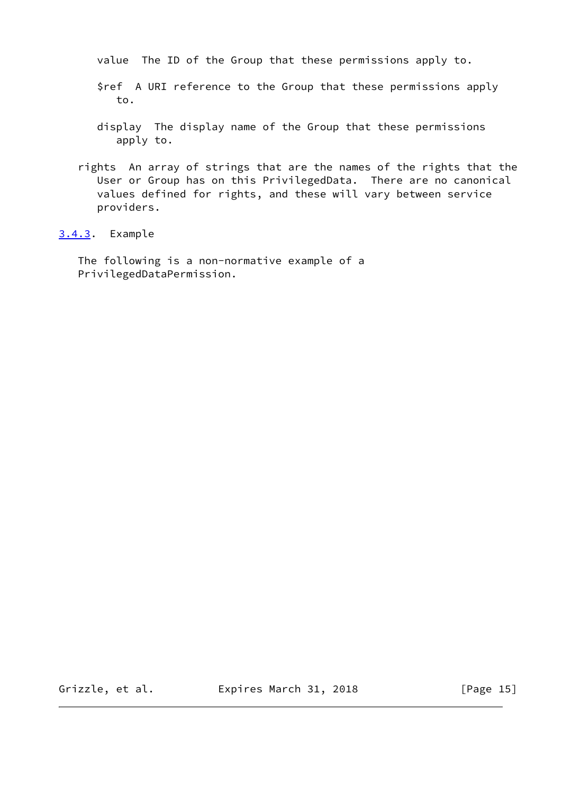value The ID of the Group that these permissions apply to.

- \$ref A URI reference to the Group that these permissions apply to.
- display The display name of the Group that these permissions apply to.
- rights An array of strings that are the names of the rights that the User or Group has on this PrivilegedData. There are no canonical values defined for rights, and these will vary between service providers.

<span id="page-16-0"></span>[3.4.3](#page-16-0). Example

 The following is a non-normative example of a PrivilegedDataPermission.

Grizzle, et al. **Expires March 31, 2018** [Page 15]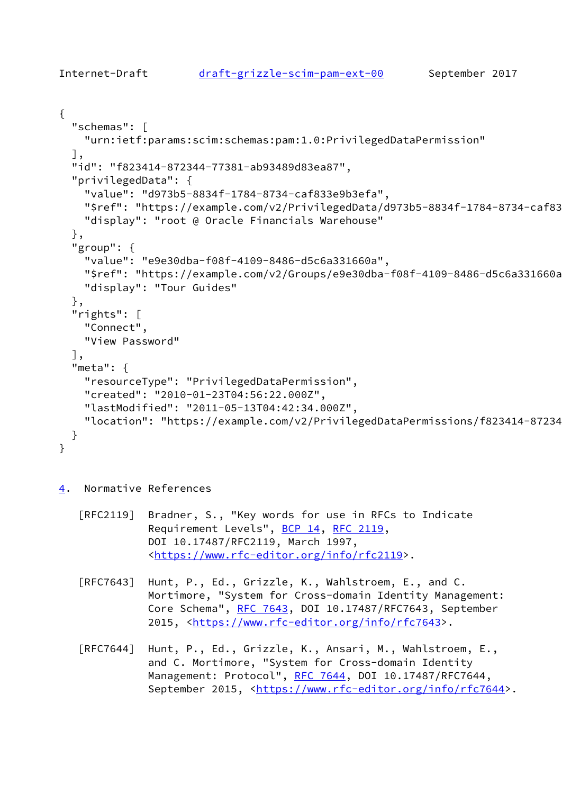```
{
   "schemas": [
     "urn:ietf:params:scim:schemas:pam:1.0:PrivilegedDataPermission"
   ],
   "id": "f823414-872344-77381-ab93489d83ea87",
   "privilegedData": {
     "value": "d973b5-8834f-1784-8734-caf833e9b3efa",
    "$ref": "https://example.com/v2/PrivilegedData/d973b5-8834f-1784-8734-caf83
     "display": "root @ Oracle Financials Warehouse"
   },
   "group": {
     "value": "e9e30dba-f08f-4109-8486-d5c6a331660a",
     "$ref": "https://example.com/v2/Groups/e9e30dba-f08f-4109-8486-d5c6a331660a",
     "display": "Tour Guides"
  },
   "rights": [
     "Connect",
     "View Password"
   ],
   "meta": {
     "resourceType": "PrivilegedDataPermission",
     "created": "2010-01-23T04:56:22.000Z",
     "lastModified": "2011-05-13T04:42:34.000Z",
    "location": "https://example.com/v2/PrivilegedDataPermissions/f823414-87234
  }
}
```
# <span id="page-17-0"></span>[4](#page-17-0). Normative References

 [RFC2119] Bradner, S., "Key words for use in RFCs to Indicate Requirement Levels", [BCP 14](https://datatracker.ietf.org/doc/pdf/bcp14), [RFC 2119](https://datatracker.ietf.org/doc/pdf/rfc2119), DOI 10.17487/RFC2119, March 1997, <[https://www.rfc-editor.org/info/rfc2119>](https://www.rfc-editor.org/info/rfc2119).

 [RFC7643] Hunt, P., Ed., Grizzle, K., Wahlstroem, E., and C. Mortimore, "System for Cross-domain Identity Management: Core Schema", [RFC 7643](https://datatracker.ietf.org/doc/pdf/rfc7643), DOI 10.17487/RFC7643, September 2015, [<https://www.rfc-editor.org/info/rfc7643](https://www.rfc-editor.org/info/rfc7643)>.

 [RFC7644] Hunt, P., Ed., Grizzle, K., Ansari, M., Wahlstroem, E., and C. Mortimore, "System for Cross-domain Identity Management: Protocol", [RFC 7644](https://datatracker.ietf.org/doc/pdf/rfc7644), DOI 10.17487/RFC7644, September 2015, <[https://www.rfc-editor.org/info/rfc7644>](https://www.rfc-editor.org/info/rfc7644).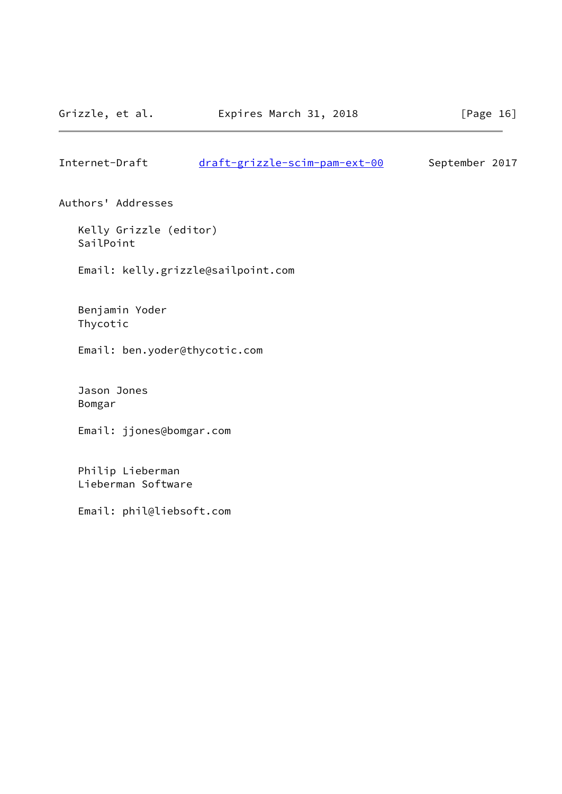<span id="page-18-0"></span>Internet-Draft [draft-grizzle-scim-pam-ext-00](https://datatracker.ietf.org/doc/pdf/draft-grizzle-scim-pam-ext-00) September 2017

Authors' Addresses

 Kelly Grizzle (editor) SailPoint

Email: kelly.grizzle@sailpoint.com

 Benjamin Yoder Thycotic

Email: ben.yoder@thycotic.com

 Jason Jones Bomgar

Email: jjones@bomgar.com

 Philip Lieberman Lieberman Software

Email: phil@liebsoft.com